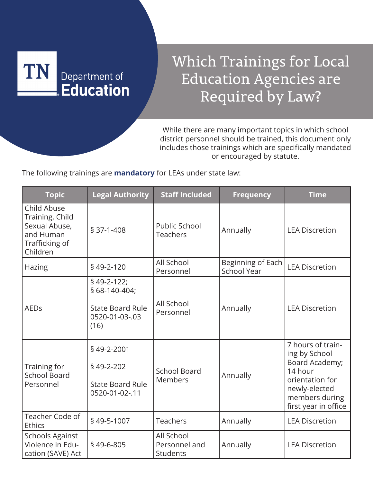

## Which Trainings for Local Education Agencies are Required by Law?

While there are many important topics in which school district personnel should be trained, this document only includes those trainings which are specifically mandated or encouraged by statute.

The following trainings are **mandatory** for LEAs under state law:

| <b>Topic</b>                                                                               | <b>Legal Authority</b>                                                           | <b>Staff Included</b>                          | <b>Frequency</b>                        | <b>Time</b>                                                                                                                                   |
|--------------------------------------------------------------------------------------------|----------------------------------------------------------------------------------|------------------------------------------------|-----------------------------------------|-----------------------------------------------------------------------------------------------------------------------------------------------|
| Child Abuse<br>Training, Child<br>Sexual Abuse,<br>and Human<br>Trafficking of<br>Children | $$37-1-408$                                                                      | Public School<br><b>Teachers</b>               | Annually                                | <b>LEA Discretion</b>                                                                                                                         |
| Hazing                                                                                     | §49-2-120                                                                        | All School<br>Personnel                        | Beginning of Each<br><b>School Year</b> | <b>LEA Discretion</b>                                                                                                                         |
| <b>AEDs</b>                                                                                | §49-2-122;<br>§ 68-140-404;<br><b>State Board Rule</b><br>0520-01-03-.03<br>(16) | All School<br>Personnel                        | Annually                                | <b>LEA Discretion</b>                                                                                                                         |
| Training for<br><b>School Board</b><br>Personnel                                           | §49-2-2001<br>§49-2-202<br><b>State Board Rule</b><br>0520-01-02-.11             | <b>School Board</b><br>Members                 | Annually                                | 7 hours of train-<br>ing by School<br>Board Academy;<br>14 hour<br>orientation for<br>newly-elected<br>members during<br>first year in office |
| Teacher Code of<br><b>Ethics</b>                                                           | §49-5-1007                                                                       | <b>Teachers</b>                                | Annually                                | <b>LEA Discretion</b>                                                                                                                         |
| <b>Schools Against</b><br>Violence in Edu-<br>cation (SAVE) Act                            | §49-6-805                                                                        | All School<br>Personnel and<br><b>Students</b> | Annually                                | <b>LEA Discretion</b>                                                                                                                         |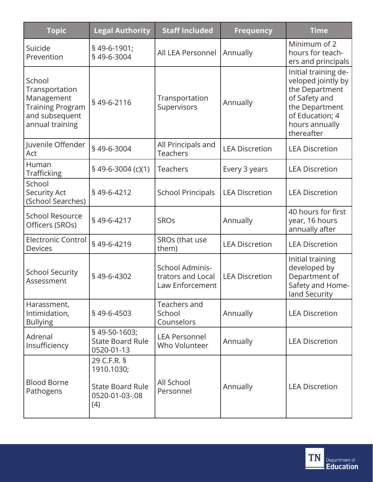| <b>Topic</b>                                                                                           | <b>Legal Authority</b>                                                        | <b>Staff Included</b>                                   | <b>Frequency</b>      | <b>Time</b>                                                                                                                                        |
|--------------------------------------------------------------------------------------------------------|-------------------------------------------------------------------------------|---------------------------------------------------------|-----------------------|----------------------------------------------------------------------------------------------------------------------------------------------------|
| Suicide<br>Prevention                                                                                  | §49-6-1901;<br>§49-6-3004                                                     | All LEA Personnel                                       | Annually              | Minimum of 2<br>hours for teach-<br>ers and principals                                                                                             |
| School<br>Transportation<br>Management<br><b>Training Program</b><br>and subsequent<br>annual training | §49-6-2116                                                                    | Transportation<br>Supervisors                           | Annually              | Initial training de-<br>veloped jointly by<br>the Department<br>of Safety and<br>the Department<br>of Education; 4<br>hours annually<br>thereafter |
| Juvenile Offender<br>Act                                                                               | §49-6-3004                                                                    | All Principals and<br><b>Teachers</b>                   | <b>LEA Discretion</b> | <b>LEA Discretion</b>                                                                                                                              |
| Human<br><b>Trafficking</b>                                                                            | $$49-6-3004(c)(1)$                                                            | <b>Teachers</b>                                         | Every 3 years         | <b>LEA Discretion</b>                                                                                                                              |
| School<br><b>Security Act</b><br>(School Searches)                                                     | §49-6-4212                                                                    | <b>School Principals</b>                                | <b>LEA Discretion</b> | <b>LEA Discretion</b>                                                                                                                              |
| <b>School Resource</b><br>Officers (SROs)                                                              | §49-6-4217                                                                    | <b>SROs</b>                                             | Annually              | 40 hours for first<br>year, 16 hours<br>annually after                                                                                             |
| <b>Electronic Control</b><br><b>Devices</b>                                                            | §49-6-4219                                                                    | SROs (that use<br>them)                                 | <b>LEA Discretion</b> | <b>LEA Discretion</b>                                                                                                                              |
| <b>School Security</b><br>Assessment                                                                   | §49-6-4302                                                                    | School Adminis-<br>trators and Local<br>Law Enforcement | <b>LEA Discretion</b> | Initial training<br>developed by<br>Department of<br>Safety and Home-<br>land Security                                                             |
| Harassment,<br>Intimidation,<br><b>Bullying</b>                                                        | §49-6-4503                                                                    | Teachers and<br>School<br>Counselors                    | Annually              | <b>LEA Discretion</b>                                                                                                                              |
| Adrenal<br>Insufficiency                                                                               | §49-50-1603;<br><b>State Board Rule</b><br>0520-01-13                         | <b>LEA Personnel</b><br>Who Volunteer                   | Annually              | <b>LEA Discretion</b>                                                                                                                              |
| <b>Blood Borne</b><br>Pathogens                                                                        | 29 C.F.R. §<br>1910.1030;<br><b>State Board Rule</b><br>0520-01-03-.08<br>(4) | All School<br>Personnel                                 | Annually              | <b>LEA Discretion</b>                                                                                                                              |

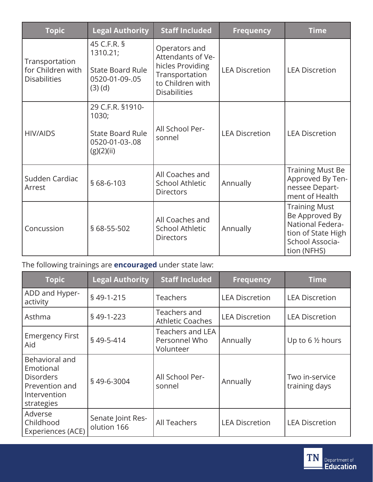| <b>Topic</b>                                               | <b>Legal Authority</b>                                                               | <b>Staff Included</b>                                                                                               | <b>Frequency</b>      | <b>Time</b>                                                                                                        |
|------------------------------------------------------------|--------------------------------------------------------------------------------------|---------------------------------------------------------------------------------------------------------------------|-----------------------|--------------------------------------------------------------------------------------------------------------------|
| Transportation<br>for Children with<br><b>Disabilities</b> | 45 C.F.R. §<br>1310.21;<br><b>State Board Rule</b><br>0520-01-09-.05<br>$(3)$ (d)    | Operators and<br>Attendants of Ve-<br>hicles Providing<br>Transportation<br>to Children with<br><b>Disabilities</b> | <b>LEA Discretion</b> | <b>LEA Discretion</b>                                                                                              |
| <b>HIV/AIDS</b>                                            | 29 C.F.R. §1910-<br>1030;<br><b>State Board Rule</b><br>0520-01-03-.08<br>(g)(2)(ii) | All School Per-<br>sonnel                                                                                           | <b>LEA Discretion</b> | <b>LEA Discretion</b>                                                                                              |
| Sudden Cardiac<br>Arrest                                   | § 68-6-103                                                                           | All Coaches and<br><b>School Athletic</b><br><b>Directors</b>                                                       | Annually              | <b>Training Must Be</b><br>Approved By Ten-<br>nessee Depart-<br>ment of Health                                    |
| Concussion                                                 | § 68-55-502                                                                          | All Coaches and<br><b>School Athletic</b><br><b>Directors</b>                                                       | Annually              | <b>Training Must</b><br>Be Approved By<br>National Federa-<br>tion of State High<br>School Associa-<br>tion (NFHS) |

The following trainings are **encouraged** under state law:

| <b>Topic</b>                                                                                    | <b>Legal Authority</b>           | <b>Staff Included</b>                                 | <b>Frequency</b>      | <b>Time</b>                     |
|-------------------------------------------------------------------------------------------------|----------------------------------|-------------------------------------------------------|-----------------------|---------------------------------|
| ADD and Hyper-<br>activity                                                                      | §49-1-215                        | <b>Teachers</b>                                       | <b>LEA Discretion</b> | <b>LEA Discretion</b>           |
| Asthma                                                                                          | §49-1-223                        | Teachers and<br><b>Athletic Coaches</b>               | <b>LEA Discretion</b> | <b>LEA Discretion</b>           |
| <b>Emergency First</b><br>Aid                                                                   | §49-5-414                        | <b>Teachers and LEA</b><br>Personnel Who<br>Volunteer | Annually              | Up to 6 1/2 hours               |
| Behavioral and<br>Emotional<br><b>Disorders</b><br>Prevention and<br>Intervention<br>strategies | §49-6-3004                       | All School Per-<br>sonnel                             | Annually              | Two in-service<br>training days |
| Adverse<br>Childhood<br>Experiences (ACE)                                                       | Senate Joint Res-<br>olution 166 | <b>All Teachers</b>                                   | <b>LEA Discretion</b> | <b>LEA Discretion</b>           |